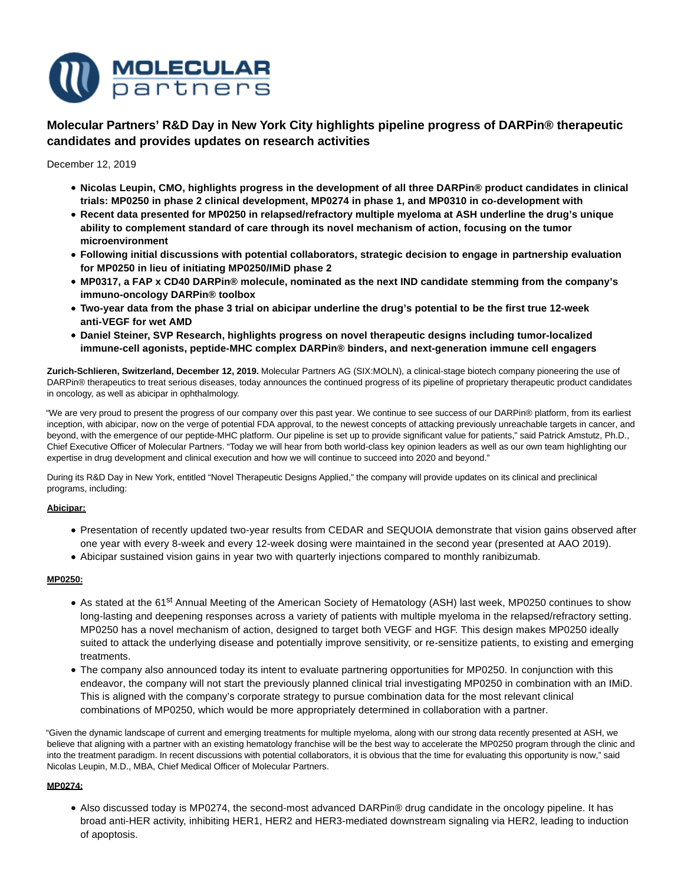

**Molecular Partners' R&D Day in New York City highlights pipeline progress of DARPin® therapeutic candidates and provides updates on research activities**

December 12, 2019

- **Nicolas Leupin, CMO, highlights progress in the development of all three DARPin® product candidates in clinical trials: MP0250 in phase 2 clinical development, MP0274 in phase 1, and MP0310 in co-development with**
- **Recent data presented for MP0250 in relapsed/refractory multiple myeloma at ASH underline the drug's unique ability to complement standard of care through its novel mechanism of action, focusing on the tumor microenvironment**
- **Following initial discussions with potential collaborators, strategic decision to engage in partnership evaluation for MP0250 in lieu of initiating MP0250/IMiD phase 2**
- **MP0317, a FAP x CD40 DARPin® molecule, nominated as the next IND candidate stemming from the company's immuno-oncology DARPin® toolbox**
- **Two-year data from the phase 3 trial on abicipar underline the drug's potential to be the first true 12-week anti-VEGF for wet AMD**
- **Daniel Steiner, SVP Research, highlights progress on novel therapeutic designs including tumor-localized immune-cell agonists, peptide-MHC complex DARPin® binders, and next-generation immune cell engagers**

**Zurich-Schlieren, Switzerland, December 12, 2019.** Molecular Partners AG (SIX:MOLN), a clinical-stage biotech company pioneering the use of DARPin® therapeutics to treat serious diseases, today announces the continued progress of its pipeline of proprietary therapeutic product candidates in oncology, as well as abicipar in ophthalmology.

"We are very proud to present the progress of our company over this past year. We continue to see success of our DARPin® platform, from its earliest inception, with abicipar, now on the verge of potential FDA approval, to the newest concepts of attacking previously unreachable targets in cancer, and beyond, with the emergence of our peptide-MHC platform. Our pipeline is set up to provide significant value for patients," said Patrick Amstutz, Ph.D., Chief Executive Officer of Molecular Partners. "Today we will hear from both world-class key opinion leaders as well as our own team highlighting our expertise in drug development and clinical execution and how we will continue to succeed into 2020 and beyond."

During its R&D Day in New York, entitled "Novel Therapeutic Designs Applied," the company will provide updates on its clinical and preclinical programs, including:

# **Abicipar:**

- Presentation of recently updated two-year results from CEDAR and SEQUOIA demonstrate that vision gains observed after one year with every 8-week and every 12-week dosing were maintained in the second year (presented at AAO 2019).
- Abicipar sustained vision gains in year two with quarterly injections compared to monthly ranibizumab.

## **MP0250:**

- As stated at the 61<sup>st</sup> Annual Meeting of the American Society of Hematology (ASH) last week, MP0250 continues to show long-lasting and deepening responses across a variety of patients with multiple myeloma in the relapsed/refractory setting. MP0250 has a novel mechanism of action, designed to target both VEGF and HGF. This design makes MP0250 ideally suited to attack the underlying disease and potentially improve sensitivity, or re-sensitize patients, to existing and emerging treatments.
- The company also announced today its intent to evaluate partnering opportunities for MP0250. In conjunction with this endeavor, the company will not start the previously planned clinical trial investigating MP0250 in combination with an IMiD. This is aligned with the company's corporate strategy to pursue combination data for the most relevant clinical combinations of MP0250, which would be more appropriately determined in collaboration with a partner.

"Given the dynamic landscape of current and emerging treatments for multiple myeloma, along with our strong data recently presented at ASH, we believe that aligning with a partner with an existing hematology franchise will be the best way to accelerate the MP0250 program through the clinic and into the treatment paradigm. In recent discussions with potential collaborators, it is obvious that the time for evaluating this opportunity is now," said Nicolas Leupin, M.D., MBA, Chief Medical Officer of Molecular Partners.

# **MP0274:**

Also discussed today is MP0274, the second-most advanced DARPin® drug candidate in the oncology pipeline. It has broad anti-HER activity, inhibiting HER1, HER2 and HER3-mediated downstream signaling via HER2, leading to induction of apoptosis.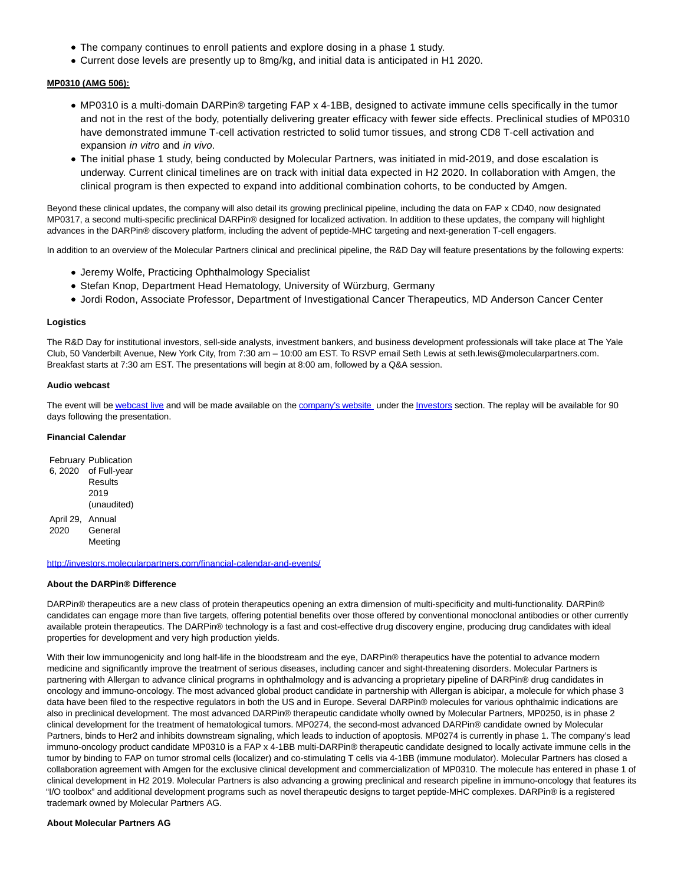- The company continues to enroll patients and explore dosing in a phase 1 study.
- Current dose levels are presently up to 8mg/kg, and initial data is anticipated in H1 2020.

### **MP0310 (AMG 506):**

- MP0310 is a multi-domain DARPin® targeting FAP x 4-1BB, designed to activate immune cells specifically in the tumor and not in the rest of the body, potentially delivering greater efficacy with fewer side effects. Preclinical studies of MP0310 have demonstrated immune T-cell activation restricted to solid tumor tissues, and strong CD8 T-cell activation and expansion in vitro and in vivo.
- The initial phase 1 study, being conducted by Molecular Partners, was initiated in mid-2019, and dose escalation is underway. Current clinical timelines are on track with initial data expected in H2 2020. In collaboration with Amgen, the clinical program is then expected to expand into additional combination cohorts, to be conducted by Amgen.

Beyond these clinical updates, the company will also detail its growing preclinical pipeline, including the data on FAP x CD40, now designated MP0317, a second multi-specific preclinical DARPin® designed for localized activation. In addition to these updates, the company will highlight advances in the DARPin® discovery platform, including the advent of peptide-MHC targeting and next-generation T-cell engagers.

In addition to an overview of the Molecular Partners clinical and preclinical pipeline, the R&D Day will feature presentations by the following experts:

- Jeremy Wolfe, Practicing Ophthalmology Specialist
- Stefan Knop, Department Head Hematology, University of Würzburg, Germany
- Jordi Rodon, Associate Professor, Department of Investigational Cancer Therapeutics, MD Anderson Cancer Center

#### **Logistics**

The R&D Day for institutional investors, sell-side analysts, investment bankers, and business development professionals will take place at The Yale Club, 50 Vanderbilt Avenue, New York City, from 7:30 am – 10:00 am EST. To RSVP email Seth Lewis at seth.lewis@molecularpartners.com. Breakfast starts at 7:30 am EST. The presentations will begin at 8:00 am, followed by a Q&A session.

## **Audio webcast**

The event will b[e webcast live a](https://services.choruscall.com/links/moln191212.html)nd will be made available on the [company's website u](https://www.molecularpartners.com/)nder th[e Investors s](http://investors.molecularpartners.com/investor-and-scientific-documents/presentations/)ection. The replay will be available for 90 days following the presentation.

## **Financial Calendar**

|           | <b>February Publication</b> |
|-----------|-----------------------------|
| 6, 2020   | of Full-year                |
|           | Results                     |
|           | 2019                        |
|           | (unaudited)                 |
| April 29, | Annual                      |
| 2020      | General                     |
|           | Meeting                     |

#### [http://investors.molecularpartners.com/financial-calendar-and-events/](http://pr.report/HpJ5wK9-)

### **About the DARPin® Difference**

DARPin® therapeutics are a new class of protein therapeutics opening an extra dimension of multi-specificity and multi-functionality. DARPin® candidates can engage more than five targets, offering potential benefits over those offered by conventional monoclonal antibodies or other currently available protein therapeutics. The DARPin® technology is a fast and cost-effective drug discovery engine, producing drug candidates with ideal properties for development and very high production yields.

With their low immunogenicity and long half-life in the bloodstream and the eye, DARPin® therapeutics have the potential to advance modern medicine and significantly improve the treatment of serious diseases, including cancer and sight-threatening disorders. Molecular Partners is partnering with Allergan to advance clinical programs in ophthalmology and is advancing a proprietary pipeline of DARPin® drug candidates in oncology and immuno-oncology. The most advanced global product candidate in partnership with Allergan is abicipar, a molecule for which phase 3 data have been filed to the respective regulators in both the US and in Europe. Several DARPin® molecules for various ophthalmic indications are also in preclinical development. The most advanced DARPin® therapeutic candidate wholly owned by Molecular Partners, MP0250, is in phase 2 clinical development for the treatment of hematological tumors. MP0274, the second-most advanced DARPin® candidate owned by Molecular Partners, binds to Her2 and inhibits downstream signaling, which leads to induction of apoptosis. MP0274 is currently in phase 1. The company's lead immuno-oncology product candidate MP0310 is a FAP x 4-1BB multi-DARPin® therapeutic candidate designed to locally activate immune cells in the tumor by binding to FAP on tumor stromal cells (localizer) and co-stimulating T cells via 4-1BB (immune modulator). Molecular Partners has closed a collaboration agreement with Amgen for the exclusive clinical development and commercialization of MP0310. The molecule has entered in phase 1 of clinical development in H2 2019. Molecular Partners is also advancing a growing preclinical and research pipeline in immuno-oncology that features its "I/O toolbox" and additional development programs such as novel therapeutic designs to target peptide-MHC complexes. DARPin® is a registered trademark owned by Molecular Partners AG.

#### **About Molecular Partners AG**